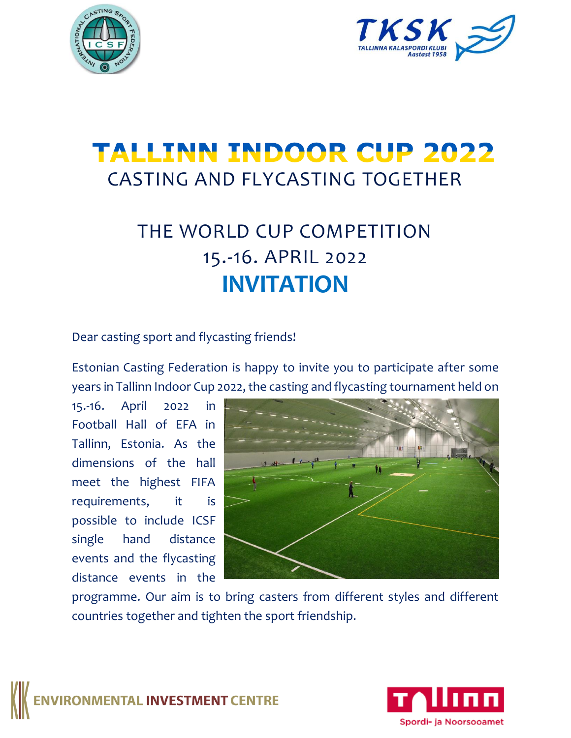



# **TALLINN INDOOR CUP 2022** CASTING AND FLYCASTING TOGETHER

## THE WORLD CUP COMPETITION 15.-16. APRIL 2022 **INVITATION**

Dear casting sport and flycasting friends!

Estonian Casting Federation is happy to invite you to participate after some years in Tallinn Indoor Cup 2022, the casting and flycasting tournament held on

15.-16. April 2022 in Football Hall of EFA in Tallinn, Estonia. As the dimensions of the hall meet the highest FIFA requirements, it is possible to include ICSF single hand distance events and the flycasting distance events in the



programme. Our aim is to bring casters from different styles and different countries together and tighten the sport friendship.



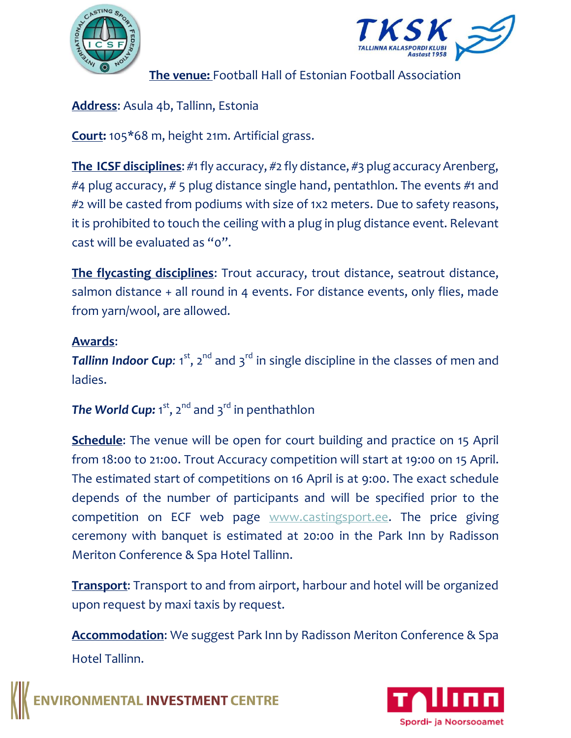



**The venue:** Football Hall of Estonian Football Association

#### **Address**: Asula 4b, Tallinn, Estonia

**Court:** 105\*68 m, height 21m. Artificial grass.

**The ICSF disciplines**: #1 fly accuracy, #2 fly distance, #3 plug accuracy Arenberg, #4 plug accuracy, # 5 plug distance single hand, pentathlon. The events #1 and #2 will be casted from podiums with size of 1x2 meters. Due to safety reasons, it is prohibited to touch the ceiling with a plug in plug distance event. Relevant cast will be evaluated as "0".

**The flycasting disciplines**: Trout accuracy, trout distance, seatrout distance, salmon distance + all round in 4 events. For distance events, only flies, made from yarn/wool, are allowed.

#### **Awards**:

Tallinn Indoor Cup: 1<sup>st</sup>, 2<sup>nd</sup> and 3<sup>rd</sup> in single discipline in the classes of men and ladies.

### **The World Cup:** 1<sup>st</sup>, 2<sup>nd</sup> and 3<sup>rd</sup> in penthathlon

**Schedule**: The venue will be open for court building and practice on 15 April from 18:00 to 21:00. Trout Accuracy competition will start at 19:00 on 15 April. The estimated start of competitions on 16 April is at 9:00. The exact schedule depends of the number of participants and will be specified prior to the competition on ECF web page [www.castingsport.ee.](http://www.castingsport.ee/) The price giving ceremony with banquet is estimated at 20:00 in the Park Inn by Radisson Meriton Conference & Spa Hotel Tallinn.

**Transport**: Transport to and from airport, harbour and hotel will be organized upon request by maxi taxis by request.

**Accommodation**: We suggest Park Inn by Radisson Meriton Conference & Spa Hotel Tallinn.